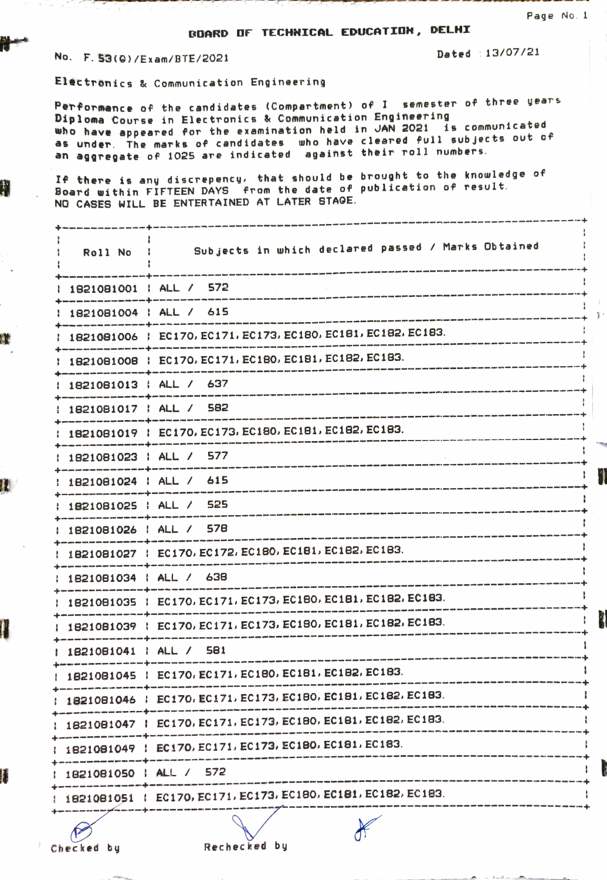## BOARD DF TECHNICAL EDUCATIDN, DELHI

No. F. 53(G)/Exam/BTE/2021 2021 2021

Electronics & Commun ication Engineering

Performance of the candidates (Compartment) of I semester of three years<br>Diploma Course in Electronics & Communication Engineering who have appeared for the examination held in JAN 2021 is communicated as under. The marks of candidates who have cleared Pull subjects out of an aggregate of 1025 are indicated against their roll numbers.

If there is any discrepency, that should be brought to the knowledge of If there is any discrepency, that should be brought to the anses.<br>Board within FIFTEEN DAYS from the date of publication of result. NO CASES WILL BE ENTERTAINED AT LATER STAOE.

| Roll No. :                                                                                                                               | Subjects in which declared passed / Marks Obtained            |  |
|------------------------------------------------------------------------------------------------------------------------------------------|---------------------------------------------------------------|--|
|                                                                                                                                          | 1821081001   ALL / 572                                        |  |
| 1821081004   ALL / 615                                                                                                                   |                                                               |  |
|                                                                                                                                          | 1821081006   EC170, EC171, EC173, EC180, EC181, EC182, EC183. |  |
|                                                                                                                                          | 1821081008   EC170, EC171, EC180, EC181, EC182, EC183.        |  |
| 1821081013   ALL / 637                                                                                                                   |                                                               |  |
| 1821081017   ALL / 582                                                                                                                   |                                                               |  |
|                                                                                                                                          | 1821081019   EC170, EC173, EC180, EC181, EC182, EC183.        |  |
| 1821081023   ALL / 577                                                                                                                   |                                                               |  |
| 1821081024   ALL / 615                                                                                                                   |                                                               |  |
| 1821081025   ALL / 525                                                                                                                   |                                                               |  |
| 1821081026   ALL / 578                                                                                                                   |                                                               |  |
|                                                                                                                                          | 1821081027 : EC170, EC172, EC180, EC181, EC182, EC183.        |  |
| se que mai van en seu arte a parte de compositor de la compositor de la compositor de la compositor de la comp<br>1821081034   ALL / 638 |                                                               |  |
|                                                                                                                                          | 1821081035   EC170, EC171, EC173, EC180, EC181, EC182, EC183. |  |
|                                                                                                                                          | 1821081039 : EC170, EC171, EC173, EC180, EC181, EC182, EC183. |  |
| 1821081041   ALL / 581                                                                                                                   |                                                               |  |
|                                                                                                                                          | 1821081045   EC170, EC171, EC180, EC181, EC182, EC183.        |  |
|                                                                                                                                          | 1821081046   EC170, EC171, EC173, EC180, EC181, EC182, EC183. |  |
|                                                                                                                                          | 1821081047   EC170, EC171, EC173, EC180, EC181, EC182, EC183. |  |
|                                                                                                                                          | 1821081049 : EC170, EC171, EC173, EC180, EC181, EC183.        |  |
| 1821081050   ALL / 572                                                                                                                   |                                                               |  |
|                                                                                                                                          | 1821081051 : EC170, EC171, EC173, EC180, EC181, EC182, EC183. |  |
|                                                                                                                                          |                                                               |  |

W

Checked by Rechecked by